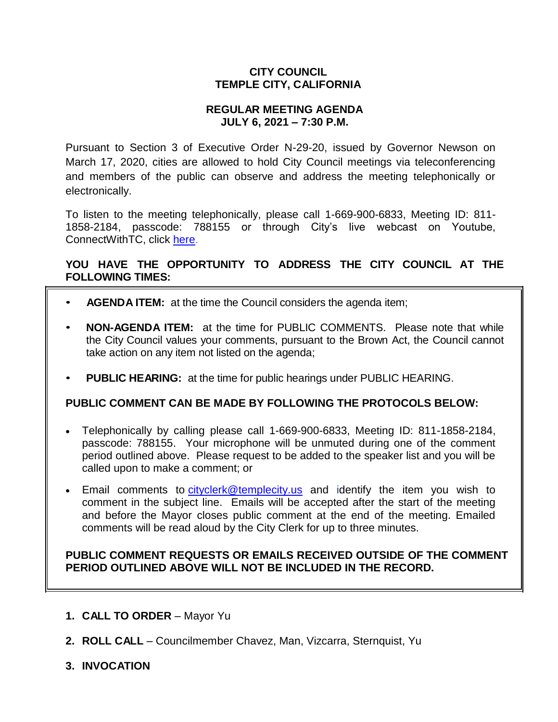# **CITY COUNCIL TEMPLE CITY, CALIFORNIA**

## **REGULAR MEETING AGENDA JULY 6, 2021 – 7:30 P.M.**

Pursuant to Section 3 of Executive Order N-29-20, issued by Governor Newson on March 17, 2020, cities are allowed to hold City Council meetings via teleconferencing and members of the public can observe and address the meeting telephonically or electronically.

To listen to the meeting telephonically, please call 1-669-900-6833, Meeting ID: 811- 1858-2184, passcode: 788155 or through City's live webcast on Youtube, ConnectWithTC, click [here.](https://www.ci.temple-city.ca.us/516/Meeting-Webcast)

# **YOU HAVE THE OPPORTUNITY TO ADDRESS THE CITY COUNCIL AT THE FOLLOWING TIMES:**

- **AGENDA ITEM:** at the time the Council considers the agenda item;
- **NON-AGENDA ITEM:** at the time for PUBLIC COMMENTS. Please note that while the City Council values your comments, pursuant to the Brown Act, the Council cannot take action on any item not listed on the agenda;
- **PUBLIC HEARING:** at the time for public hearings under PUBLIC HEARING.

## **PUBLIC COMMENT CAN BE MADE BY FOLLOWING THE PROTOCOLS BELOW:**

- Telephonically by calling please call 1-669-900-6833, Meeting ID: 811-1858-2184, passcode: 788155. Your microphone will be unmuted during one of the comment period outlined above. Please request to be added to the speaker list and you will be called upon to make a comment; or
- Email comments to [cityclerk@templecity.us](mailto:cityclerk@templecity.us) and identify the item you wish to comment in the subject line. Emails will be accepted after the start of the meeting and before the Mayor closes public comment at the end of the meeting. Emailed comments will be read aloud by the City Clerk for up to three minutes.

## **PUBLIC COMMENT REQUESTS OR EMAILS RECEIVED OUTSIDE OF THE COMMENT PERIOD OUTLINED ABOVE WILL NOT BE INCLUDED IN THE RECORD.**

- **1. CALL TO ORDER**  Mayor Yu
- **2. ROLL CALL**  Councilmember Chavez, Man, Vizcarra, Sternquist, Yu
- **3. INVOCATION**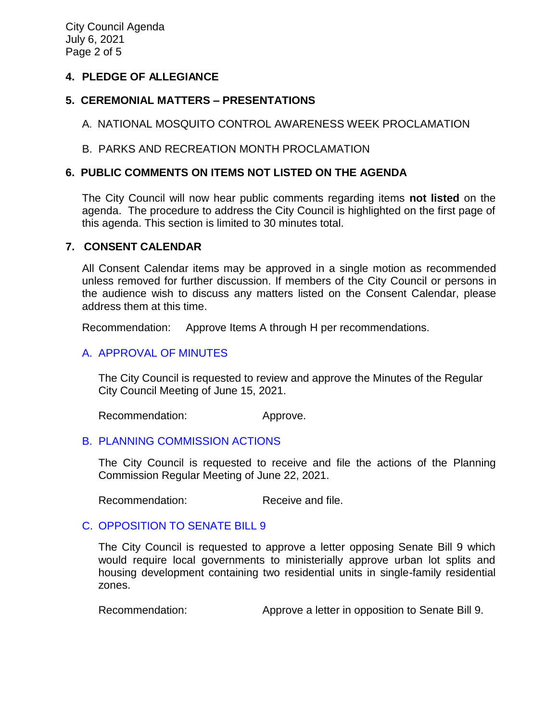City Council Agenda July 6, 2021 Page 2 of 5

## **4. PLEDGE OF ALLEGIANCE**

# **5. CEREMONIAL MATTERS – PRESENTATIONS**

A. NATIONAL MOSQUITO CONTROL AWARENESS WEEK PROCLAMATION

## B. PARKS AND RECREATION MONTH PROCLAMATION

## **6. PUBLIC COMMENTS ON ITEMS NOT LISTED ON THE AGENDA**

The City Council will now hear public comments regarding items **not listed** on the agenda. The procedure to address the City Council is highlighted on the first page of this agenda. This section is limited to 30 minutes total.

### **7. CONSENT CALENDAR**

All Consent Calendar items may be approved in a single motion as recommended unless removed for further discussion. If members of the City Council or persons in the audience wish to discuss any matters listed on the Consent Calendar, please address them at this time.

Recommendation: Approve Items A through H per recommendations.

# [A. APPROVAL OF MINUTES](https://www.ci.temple-city.ca.us/DocumentCenter/View/16462/7A_CCM-2021-06-15)

The City Council is requested to review and approve the Minutes of the Regular City Council Meeting of June 15, 2021.

Recommendation: Approve.

## B. PLANNING [COMMISSION ACTIONS](https://www.ci.temple-city.ca.us/DocumentCenter/View/16463/7B_PC-Actions_-2021-6-22_v2)

The City Council is requested to receive and file the actions of the Planning Commission Regular Meeting of June 22, 2021.

Recommendation: Receive and file.

## C. [OPPOSITION TO SENATE BILL 9](https://www.ci.temple-city.ca.us/DocumentCenter/View/16464/7C_Opposition-to-SB-9_Staff-Report_v4-w-attachment)

The City Council is requested to approve a letter opposing Senate Bill 9 which would require local governments to ministerially approve urban lot splits and housing development containing two residential units in single-family residential zones.

Recommendation: Approve a letter in opposition to Senate Bill 9.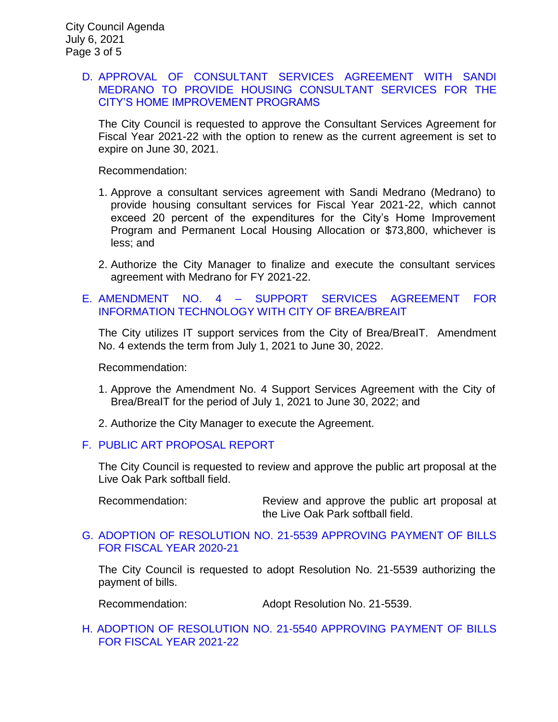## D. [APPROVAL OF CONSULTANT SERVICES AGREEMENT WITH SANDI](https://www.ci.temple-city.ca.us/DocumentCenter/View/16465/7D_CDBG-Housing-Consultant_Staff-Report_2021_v2-attachments)  [MEDRANO TO PROVIDE HOUSING CONSULTANT SERVICES FOR THE](https://www.ci.temple-city.ca.us/DocumentCenter/View/16465/7D_CDBG-Housing-Consultant_Staff-Report_2021_v2-attachments)  [CITY'S HOME IMPROVEMENT PROGRAMS](https://www.ci.temple-city.ca.us/DocumentCenter/View/16465/7D_CDBG-Housing-Consultant_Staff-Report_2021_v2-attachments)

The City Council is requested to approve the Consultant Services Agreement for Fiscal Year 2021-22 with the option to renew as the current agreement is set to expire on June 30, 2021.

Recommendation:

- 1. Approve a consultant services agreement with Sandi Medrano (Medrano) to provide housing consultant services for Fiscal Year 2021-22, which cannot exceed 20 percent of the expenditures for the City's Home Improvement Program and Permanent Local Housing Allocation or \$73,800, whichever is less; and
- 2. Authorize the City Manager to finalize and execute the consultant services agreement with Medrano for FY 2021-22.
- E. AMENDMENT NO. 4 [SUPPORT SERVICES AGREEMENT FOR](https://www.ci.temple-city.ca.us/DocumentCenter/View/16466/7E_BreaIT_Staff-Report-FY-2021-22)  [INFORMATION TECHNOLOGY WITH CITY OF BREA/BREAIT](https://www.ci.temple-city.ca.us/DocumentCenter/View/16466/7E_BreaIT_Staff-Report-FY-2021-22)

The City utilizes IT support services from the City of Brea/BreaIT. Amendment No. 4 extends the term from July 1, 2021 to June 30, 2022.

Recommendation:

- 1. Approve the Amendment No. 4 Support Services Agreement with the City of Brea/BreaIT for the period of July 1, 2021 to June 30, 2022; and
- 2. Authorize the City Manager to execute the Agreement.

#### F. [PUBLIC ART PROPOSAL REPORT](https://www.ci.temple-city.ca.us/DocumentCenter/View/16467/7F_Public-Art-Proposal_Staff-Report_v2-w-attachment)

The City Council is requested to review and approve the public art proposal at the Live Oak Park softball field.

Recommendation: Review and approve the public art proposal at the Live Oak Park softball field.

#### G. [ADOPTION OF RESOLUTION NO. 21-5539 APPROVING PAYMENT OF BILLS](https://www.ci.temple-city.ca.us/DocumentCenter/View/16468/7G_CC-Warrant_Reso-21-5539_FY-2021-21_w-attachment)  [FOR FISCAL YEAR 2020-21](https://www.ci.temple-city.ca.us/DocumentCenter/View/16468/7G_CC-Warrant_Reso-21-5539_FY-2021-21_w-attachment)

The City Council is requested to adopt Resolution No. 21-5539 authorizing the payment of bills.

Recommendation: Adopt Resolution No. 21-5539.

[H. ADOPTION OF RESOLUTION NO. 21-5540 APPROVING PAYMENT OF BILLS](https://www.ci.temple-city.ca.us/DocumentCenter/View/16469/7H_CC-Warrant_Reso-21-5540_FY-2021-22-w-attachment)  [FOR FISCAL YEAR 2021-22](https://www.ci.temple-city.ca.us/DocumentCenter/View/16469/7H_CC-Warrant_Reso-21-5540_FY-2021-22-w-attachment)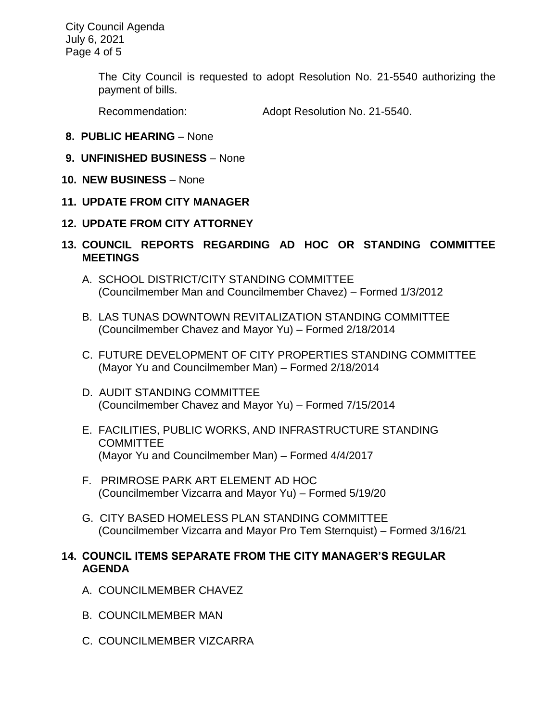City Council Agenda July 6, 2021 Page 4 of 5

> The City Council is requested to adopt Resolution No. 21-5540 authorizing the payment of bills.

Recommendation: Adopt Resolution No. 21-5540.

- **8. PUBLIC HEARING**  None
- **9. UNFINISHED BUSINESS**  None
- **10. NEW BUSINESS**  None
- **11. UPDATE FROM CITY MANAGER**
- **12. UPDATE FROM CITY ATTORNEY**
- **13. COUNCIL REPORTS REGARDING AD HOC OR STANDING COMMITTEE MEETINGS** 
	- A. SCHOOL DISTRICT/CITY STANDING COMMITTEE (Councilmember Man and Councilmember Chavez) – Formed 1/3/2012
	- B. LAS TUNAS DOWNTOWN REVITALIZATION STANDING COMMITTEE (Councilmember Chavez and Mayor Yu) – Formed 2/18/2014
	- C. FUTURE DEVELOPMENT OF CITY PROPERTIES STANDING COMMITTEE (Mayor Yu and Councilmember Man) – Formed 2/18/2014
	- D. AUDIT STANDING COMMITTEE (Councilmember Chavez and Mayor Yu) – Formed 7/15/2014
	- E. FACILITIES, PUBLIC WORKS, AND INFRASTRUCTURE STANDING **COMMITTEE** (Mayor Yu and Councilmember Man) – Formed 4/4/2017
	- F. PRIMROSE PARK ART ELEMENT AD HOC (Councilmember Vizcarra and Mayor Yu) – Formed 5/19/20
	- G. CITY BASED HOMELESS PLAN STANDING COMMITTEE (Councilmember Vizcarra and Mayor Pro Tem Sternquist) – Formed 3/16/21

## **14. COUNCIL ITEMS SEPARATE FROM THE CITY MANAGER'S REGULAR AGENDA**

- A. COUNCILMEMBER CHAVEZ
- B. COUNCILMEMBER MAN
- C. COUNCILMEMBER VIZCARRA